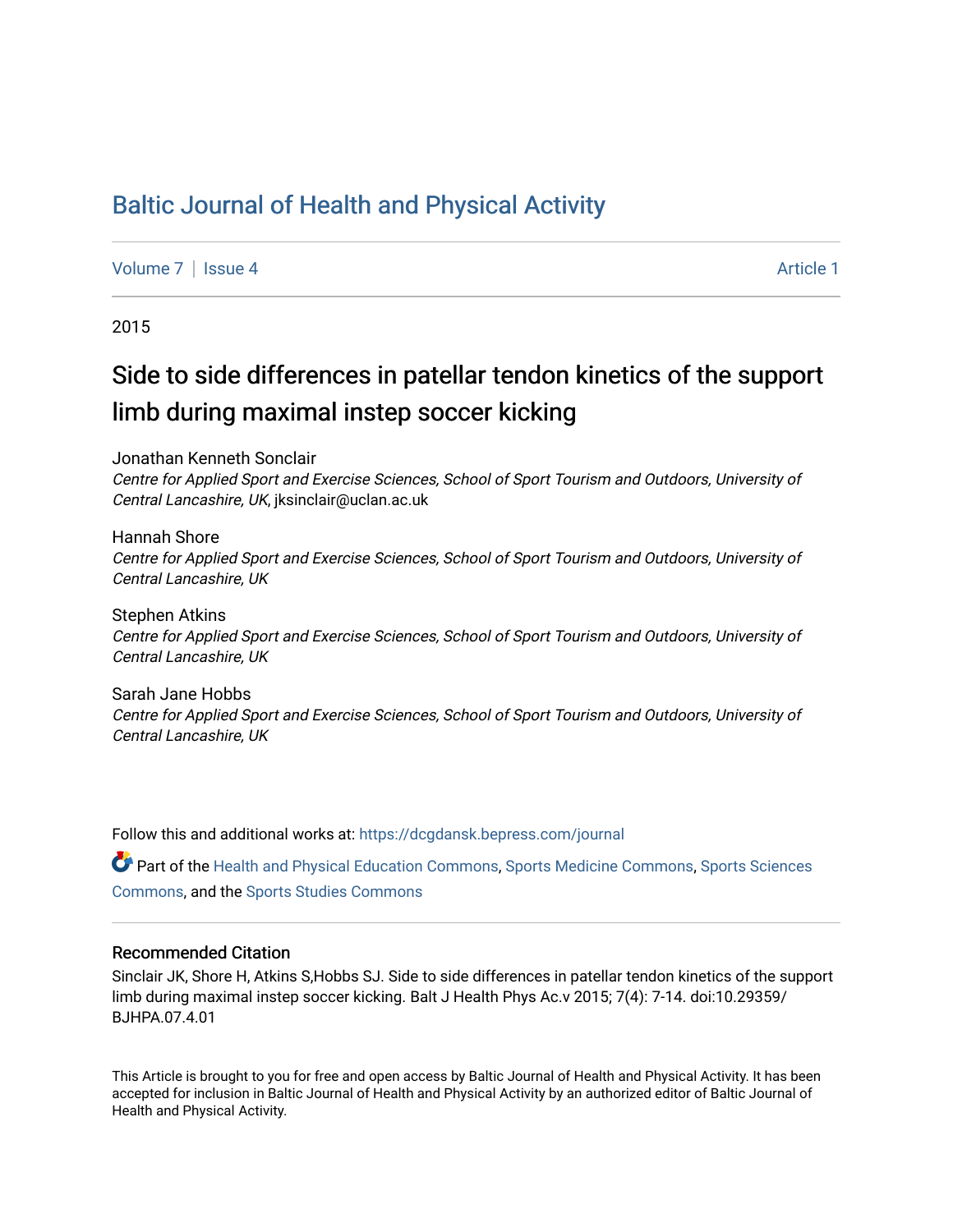## [Baltic Journal of Health and Physical Activity](https://dcgdansk.bepress.com/journal)

[Volume 7](https://dcgdansk.bepress.com/journal/vol7) | [Issue 4](https://dcgdansk.bepress.com/journal/vol7/iss4) Article 1

2015

# Side to side differences in patellar tendon kinetics of the support limb during maximal instep soccer kicking

Jonathan Kenneth Sonclair

Centre for Applied Sport and Exercise Sciences, School of Sport Tourism and Outdoors, University of Central Lancashire, UK, jksinclair@uclan.ac.uk

Hannah Shore Centre for Applied Sport and Exercise Sciences, School of Sport Tourism and Outdoors, University of Central Lancashire, UK

Stephen Atkins Centre for Applied Sport and Exercise Sciences, School of Sport Tourism and Outdoors, University of Central Lancashire, UK

Sarah Jane Hobbs Centre for Applied Sport and Exercise Sciences, School of Sport Tourism and Outdoors, University of Central Lancashire, UK

Follow this and additional works at: [https://dcgdansk.bepress.com/journal](https://dcgdansk.bepress.com/journal?utm_source=dcgdansk.bepress.com%2Fjournal%2Fvol7%2Fiss4%2F1&utm_medium=PDF&utm_campaign=PDFCoverPages)

Part of the [Health and Physical Education Commons](http://network.bepress.com/hgg/discipline/1327?utm_source=dcgdansk.bepress.com%2Fjournal%2Fvol7%2Fiss4%2F1&utm_medium=PDF&utm_campaign=PDFCoverPages), [Sports Medicine Commons,](http://network.bepress.com/hgg/discipline/1331?utm_source=dcgdansk.bepress.com%2Fjournal%2Fvol7%2Fiss4%2F1&utm_medium=PDF&utm_campaign=PDFCoverPages) [Sports Sciences](http://network.bepress.com/hgg/discipline/759?utm_source=dcgdansk.bepress.com%2Fjournal%2Fvol7%2Fiss4%2F1&utm_medium=PDF&utm_campaign=PDFCoverPages) [Commons](http://network.bepress.com/hgg/discipline/759?utm_source=dcgdansk.bepress.com%2Fjournal%2Fvol7%2Fiss4%2F1&utm_medium=PDF&utm_campaign=PDFCoverPages), and the [Sports Studies Commons](http://network.bepress.com/hgg/discipline/1198?utm_source=dcgdansk.bepress.com%2Fjournal%2Fvol7%2Fiss4%2F1&utm_medium=PDF&utm_campaign=PDFCoverPages) 

#### Recommended Citation

Sinclair JK, Shore H, Atkins S,Hobbs SJ. Side to side differences in patellar tendon kinetics of the support limb during maximal instep soccer kicking. Balt J Health Phys Ac.v 2015; 7(4): 7-14. doi:10.29359/ BJHPA.07.4.01

This Article is brought to you for free and open access by Baltic Journal of Health and Physical Activity. It has been accepted for inclusion in Baltic Journal of Health and Physical Activity by an authorized editor of Baltic Journal of Health and Physical Activity.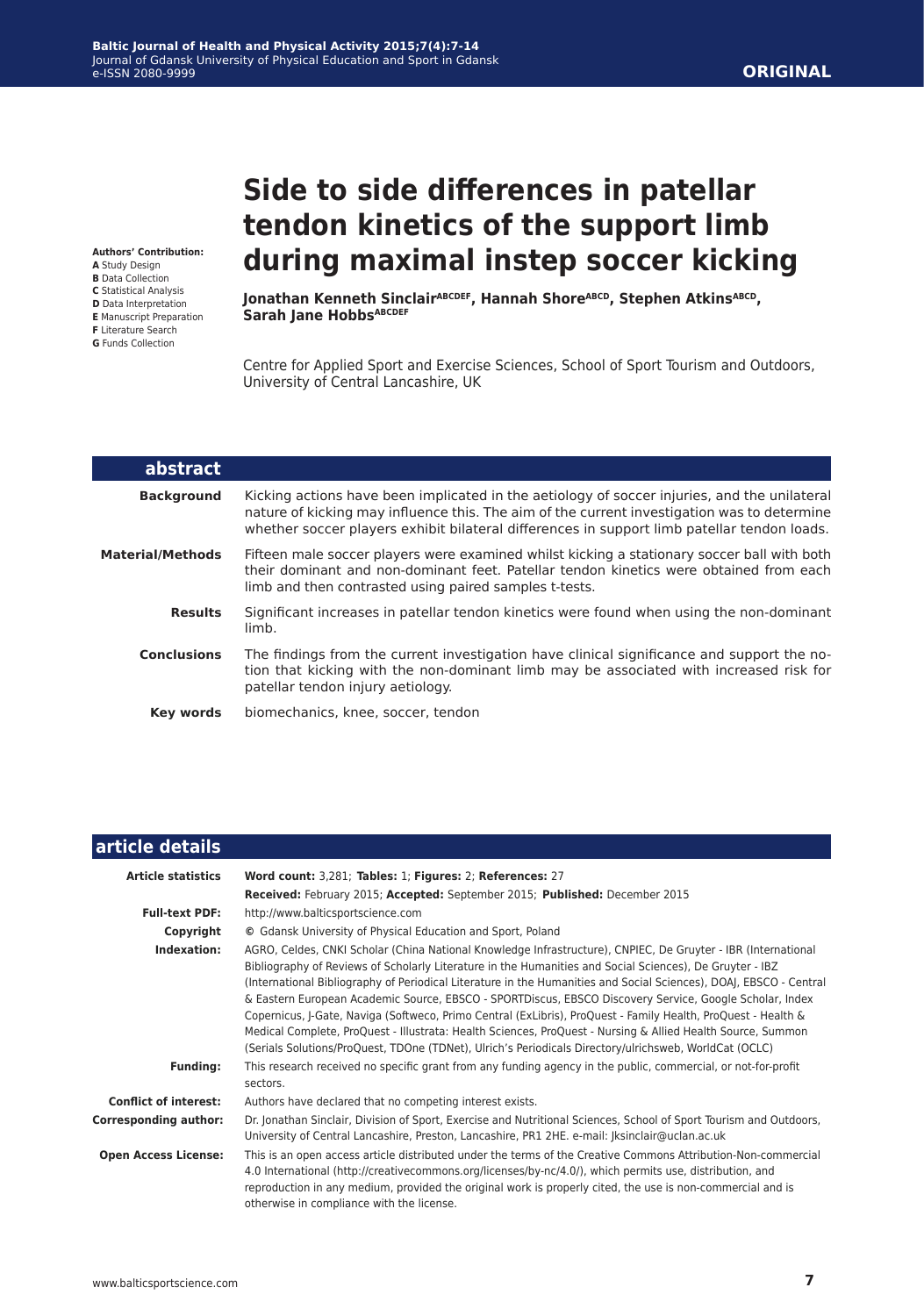# **Side to side differences in patellar tendon kinetics of the support limb during maximal instep soccer kicking**

Jonathan Kenneth Sinclair<sup>ABCDEF</sup>, Hannah Shore<sup>ABCD</sup>, Stephen Atkins<sup>ABCD</sup>, Sarah Jane Hobbs<sup>ABCDEF</sup>

Centre for Applied Sport and Exercise Sciences, School of Sport Tourism and Outdoors, University of Central Lancashire, UK

| abstract                |                                                                                                                                                                                                                                                                                            |
|-------------------------|--------------------------------------------------------------------------------------------------------------------------------------------------------------------------------------------------------------------------------------------------------------------------------------------|
| <b>Background</b>       | Kicking actions have been implicated in the aetiology of soccer injuries, and the unilateral<br>nature of kicking may influence this. The aim of the current investigation was to determine<br>whether soccer players exhibit bilateral differences in support limb patellar tendon loads. |
| <b>Material/Methods</b> | Fifteen male soccer players were examined whilst kicking a stationary soccer ball with both<br>their dominant and non-dominant feet. Patellar tendon kinetics were obtained from each<br>limb and then contrasted using paired samples t-tests.                                            |
| <b>Results</b>          | Significant increases in patellar tendon kinetics were found when using the non-dominant<br>limb.                                                                                                                                                                                          |
| <b>Conclusions</b>      | The findings from the current investigation have clinical significance and support the no-<br>tion that kicking with the non-dominant limb may be associated with increased risk for<br>patellar tendon injury aetiology.                                                                  |
| Key words               | biomechanics, knee, soccer, tendon                                                                                                                                                                                                                                                         |

| article details              |                                                                                                                                                                                                                                                                                                                                                                                                                                                                                                                                                                                                                                                                                                                                                                                                      |
|------------------------------|------------------------------------------------------------------------------------------------------------------------------------------------------------------------------------------------------------------------------------------------------------------------------------------------------------------------------------------------------------------------------------------------------------------------------------------------------------------------------------------------------------------------------------------------------------------------------------------------------------------------------------------------------------------------------------------------------------------------------------------------------------------------------------------------------|
| <b>Article statistics</b>    | Word count: 3,281; Tables: 1; Figures: 2; References: 27                                                                                                                                                                                                                                                                                                                                                                                                                                                                                                                                                                                                                                                                                                                                             |
|                              | Received: February 2015; Accepted: September 2015; Published: December 2015                                                                                                                                                                                                                                                                                                                                                                                                                                                                                                                                                                                                                                                                                                                          |
| <b>Full-text PDF:</b>        | http://www.balticsportscience.com                                                                                                                                                                                                                                                                                                                                                                                                                                                                                                                                                                                                                                                                                                                                                                    |
| Copyright                    | © Gdansk University of Physical Education and Sport, Poland                                                                                                                                                                                                                                                                                                                                                                                                                                                                                                                                                                                                                                                                                                                                          |
| Indexation:                  | AGRO, Celdes, CNKI Scholar (China National Knowledge Infrastructure), CNPIEC, De Gruyter - IBR (International<br>Bibliography of Reviews of Scholarly Literature in the Humanities and Social Sciences), De Gruyter - IBZ<br>(International Bibliography of Periodical Literature in the Humanities and Social Sciences), DOAJ, EBSCO - Central<br>& Eastern European Academic Source, EBSCO - SPORTDiscus, EBSCO Discovery Service, Google Scholar, Index<br>Copernicus, J-Gate, Naviga (Softweco, Primo Central (ExLibris), ProQuest - Family Health, ProQuest - Health &<br>Medical Complete, ProQuest - Illustrata: Health Sciences, ProQuest - Nursing & Allied Health Source, Summon<br>(Serials Solutions/ProQuest, TDOne (TDNet), Ulrich's Periodicals Directory/ulrichsweb, WorldCat (OCLC) |
| <b>Funding:</b>              | This research received no specific grant from any funding agency in the public, commercial, or not-for-profit<br>sectors.                                                                                                                                                                                                                                                                                                                                                                                                                                                                                                                                                                                                                                                                            |
| <b>Conflict of interest:</b> | Authors have declared that no competing interest exists.                                                                                                                                                                                                                                                                                                                                                                                                                                                                                                                                                                                                                                                                                                                                             |
| <b>Corresponding author:</b> | Dr. Jonathan Sinclair, Division of Sport, Exercise and Nutritional Sciences, School of Sport Tourism and Outdoors,<br>University of Central Lancashire, Preston, Lancashire, PR1 2HE. e-mail:  ksinclair@uclan.ac.uk                                                                                                                                                                                                                                                                                                                                                                                                                                                                                                                                                                                 |
| <b>Open Access License:</b>  | This is an open access article distributed under the terms of the Creative Commons Attribution-Non-commercial<br>4.0 International (http://creativecommons.org/licenses/by-nc/4.0/), which permits use, distribution, and<br>reproduction in any medium, provided the original work is properly cited, the use is non-commercial and is<br>otherwise in compliance with the license.                                                                                                                                                                                                                                                                                                                                                                                                                 |

#### **Authors' Contribution:**

- **A** Study Design **B** Data Collection
- **C** Statistical Analysis
- **D** Data Interpretation
- **E** Manuscript Preparation **F** Literature Search
- **G** Funds Collection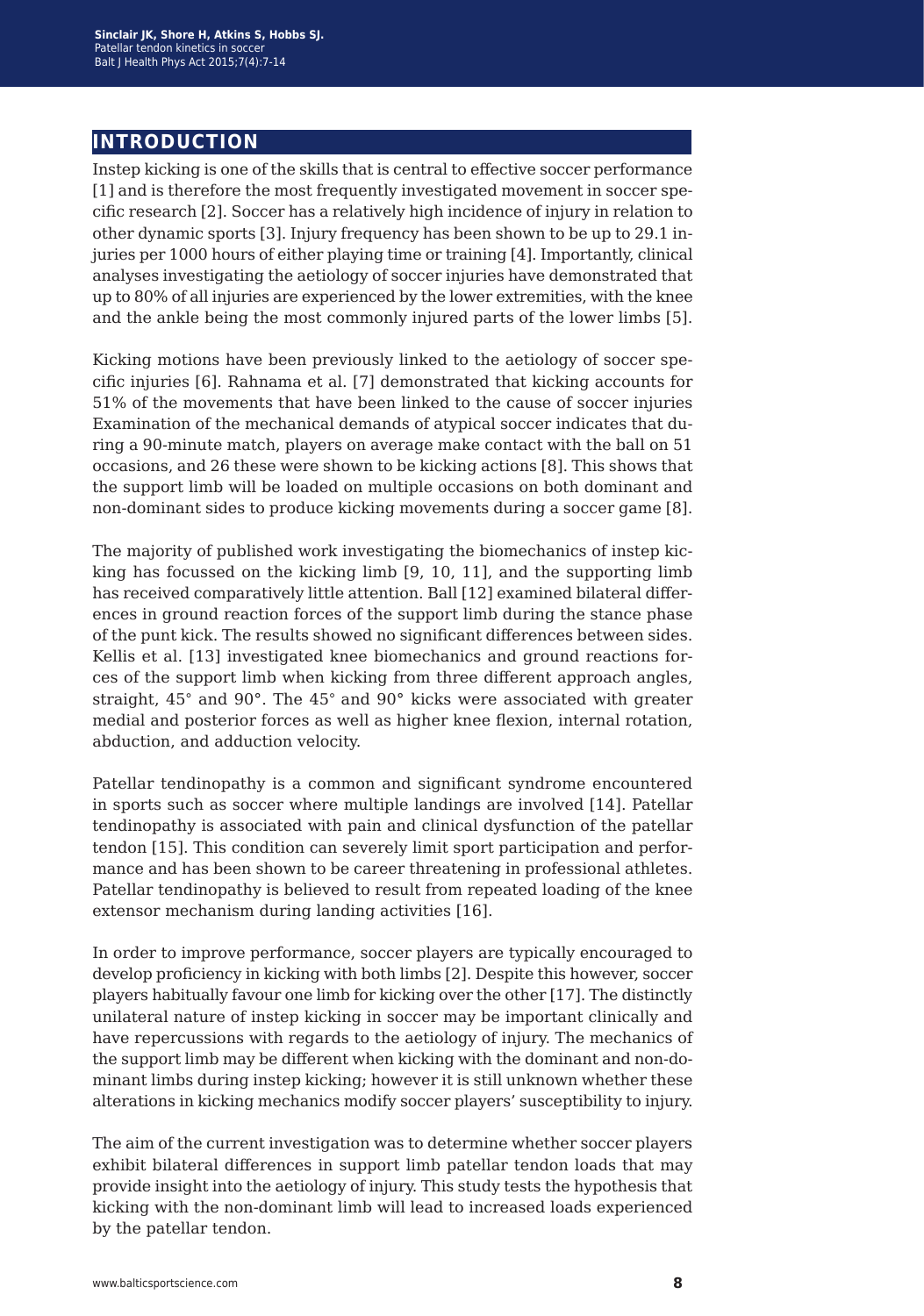## **introduction**

Instep kicking is one of the skills that is central to effective soccer performance [1] and is therefore the most frequently investigated movement in soccer specific research [2]. Soccer has a relatively high incidence of injury in relation to other dynamic sports [3]. Injury frequency has been shown to be up to 29.1 injuries per 1000 hours of either playing time or training [4]. Importantly, clinical analyses investigating the aetiology of soccer injuries have demonstrated that up to 80% of all injuries are experienced by the lower extremities, with the knee and the ankle being the most commonly injured parts of the lower limbs [5].

Kicking motions have been previously linked to the aetiology of soccer specific injuries [6]. Rahnama et al. [7] demonstrated that kicking accounts for 51% of the movements that have been linked to the cause of soccer injuries Examination of the mechanical demands of atypical soccer indicates that during a 90-minute match, players on average make contact with the ball on 51 occasions, and 26 these were shown to be kicking actions [8]. This shows that the support limb will be loaded on multiple occasions on both dominant and non-dominant sides to produce kicking movements during a soccer game [8].

The majority of published work investigating the biomechanics of instep kicking has focussed on the kicking limb [9, 10, 11], and the supporting limb has received comparatively little attention. Ball [12] examined bilateral differences in ground reaction forces of the support limb during the stance phase of the punt kick. The results showed no significant differences between sides. Kellis et al. [13] investigated knee biomechanics and ground reactions forces of the support limb when kicking from three different approach angles, straight, 45° and 90°. The 45° and 90° kicks were associated with greater medial and posterior forces as well as higher knee flexion, internal rotation, abduction, and adduction velocity.

Patellar tendinopathy is a common and significant syndrome encountered in sports such as soccer where multiple landings are involved [14]. Patellar tendinopathy is associated with pain and clinical dysfunction of the patellar tendon [15]. This condition can severely limit sport participation and performance and has been shown to be career threatening in professional athletes. Patellar tendinopathy is believed to result from repeated loading of the knee extensor mechanism during landing activities [16].

In order to improve performance, soccer players are typically encouraged to develop proficiency in kicking with both limbs [2]. Despite this however, soccer players habitually favour one limb for kicking over the other [17]. The distinctly unilateral nature of instep kicking in soccer may be important clinically and have repercussions with regards to the aetiology of injury. The mechanics of the support limb may be different when kicking with the dominant and non-dominant limbs during instep kicking; however it is still unknown whether these alterations in kicking mechanics modify soccer players' susceptibility to injury.

The aim of the current investigation was to determine whether soccer players exhibit bilateral differences in support limb patellar tendon loads that may provide insight into the aetiology of injury. This study tests the hypothesis that kicking with the non-dominant limb will lead to increased loads experienced by the patellar tendon.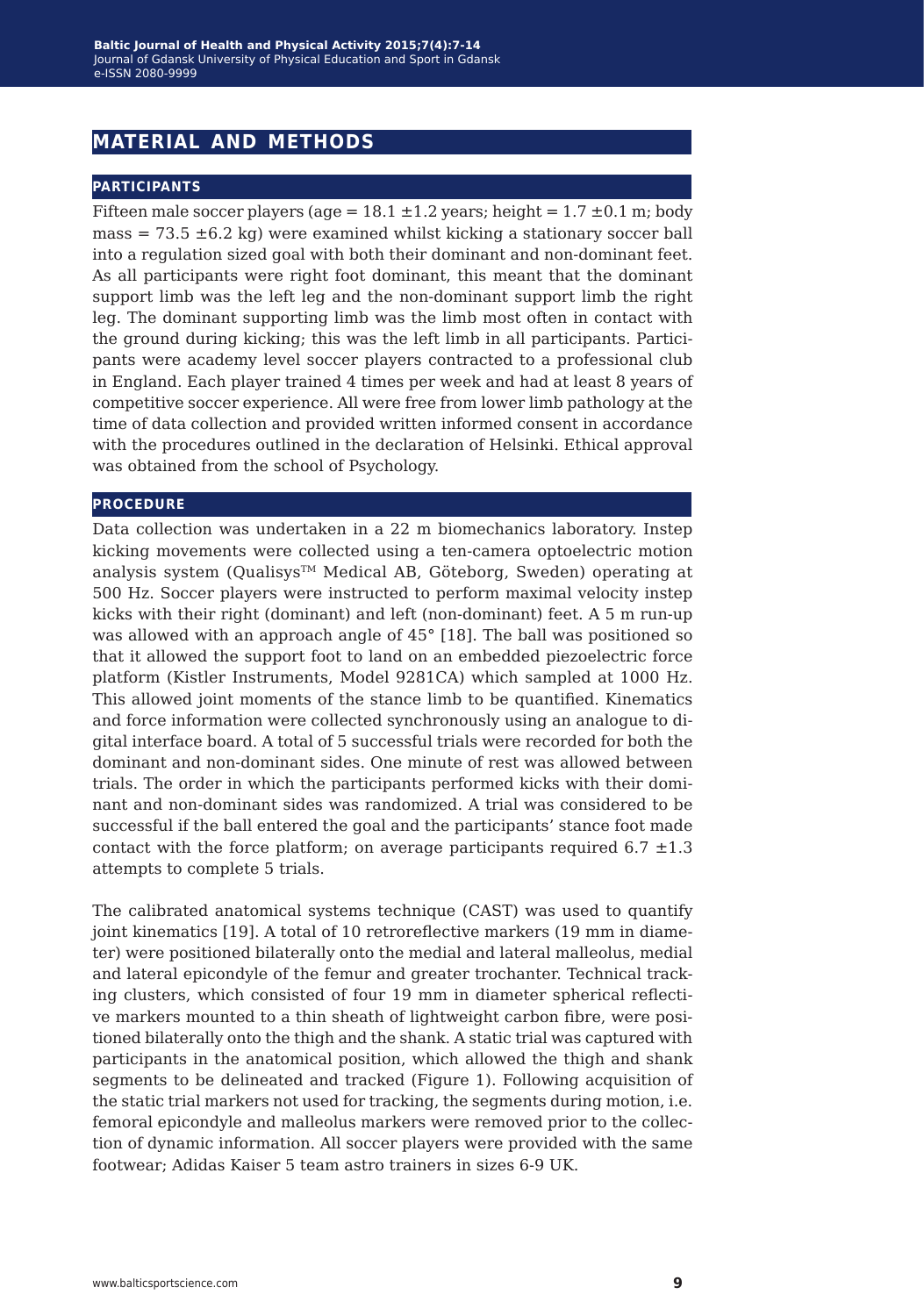## **material and methods**

#### **participants**

Fifteen male soccer players (age =  $18.1 \pm 1.2$  years; height =  $1.7 \pm 0.1$  m; body mass  $= 73.5 \pm 6.2$  kg) were examined whilst kicking a stationary soccer ball into a regulation sized goal with both their dominant and non-dominant feet. As all participants were right foot dominant, this meant that the dominant support limb was the left leg and the non-dominant support limb the right leg. The dominant supporting limb was the limb most often in contact with the ground during kicking; this was the left limb in all participants. Participants were academy level soccer players contracted to a professional club in England. Each player trained 4 times per week and had at least 8 years of competitive soccer experience. All were free from lower limb pathology at the time of data collection and provided written informed consent in accordance with the procedures outlined in the declaration of Helsinki. Ethical approval was obtained from the school of Psychology.

#### **procedure**

Data collection was undertaken in a 22 m biomechanics laboratory. Instep kicking movements were collected using a ten-camera optoelectric motion analysis system (Qualisys™ Medical AB, Göteborg, Sweden) operating at 500 Hz. Soccer players were instructed to perform maximal velocity instep kicks with their right (dominant) and left (non-dominant) feet. A 5 m run-up was allowed with an approach angle of 45° [18]. The ball was positioned so that it allowed the support foot to land on an embedded piezoelectric force platform (Kistler Instruments, Model 9281CA) which sampled at 1000 Hz. This allowed joint moments of the stance limb to be quantified. Kinematics and force information were collected synchronously using an analogue to digital interface board. A total of 5 successful trials were recorded for both the dominant and non-dominant sides. One minute of rest was allowed between trials. The order in which the participants performed kicks with their dominant and non-dominant sides was randomized. A trial was considered to be successful if the ball entered the goal and the participants' stance foot made contact with the force platform; on average participants required  $6.7 \pm 1.3$ attempts to complete 5 trials.

The calibrated anatomical systems technique (CAST) was used to quantify joint kinematics [19]. A total of 10 retroreflective markers (19 mm in diameter) were positioned bilaterally onto the medial and lateral malleolus, medial and lateral epicondyle of the femur and greater trochanter. Technical tracking clusters, which consisted of four 19 mm in diameter spherical reflective markers mounted to a thin sheath of lightweight carbon fibre, were positioned bilaterally onto the thigh and the shank. A static trial was captured with participants in the anatomical position, which allowed the thigh and shank segments to be delineated and tracked (Figure 1). Following acquisition of the static trial markers not used for tracking, the segments during motion, i.e. femoral epicondyle and malleolus markers were removed prior to the collection of dynamic information. All soccer players were provided with the same footwear; Adidas Kaiser 5 team astro trainers in sizes 6-9 UK.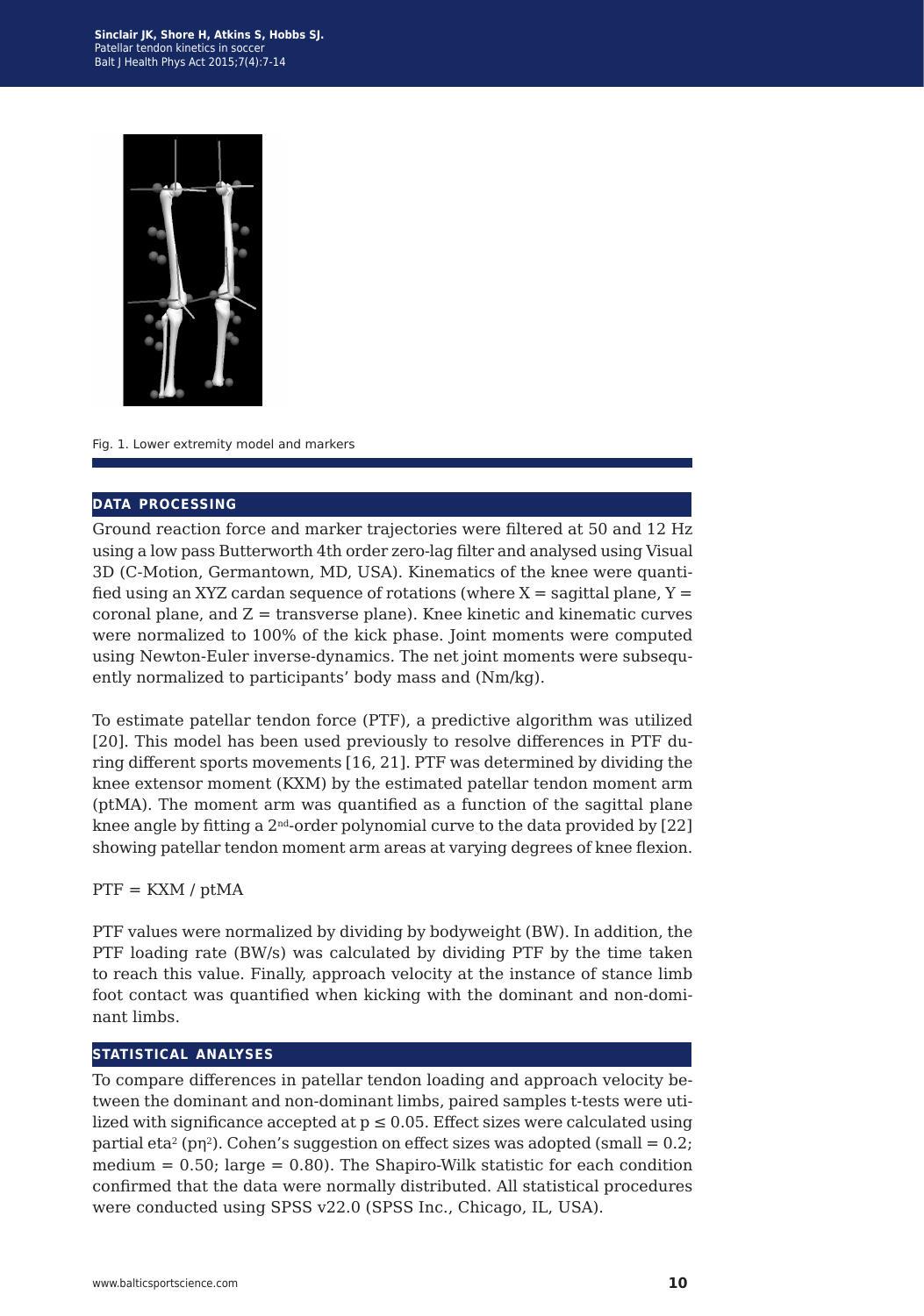

#### Fig. 1. Lower extremity model and markers

#### **data processing**

Ground reaction force and marker trajectories were filtered at 50 and 12 Hz using a low pass Butterworth 4th order zero-lag filter and analysed using Visual 3D (C-Motion, Germantown, MD, USA). Kinematics of the knee were quantified using an XYZ cardan sequence of rotations (where  $X =$  sagittal plane,  $Y =$ coronal plane, and  $Z =$  transverse plane). Knee kinetic and kinematic curves were normalized to 100% of the kick phase. Joint moments were computed using Newton-Euler inverse-dynamics. The net joint moments were subsequently normalized to participants' body mass and (Nm/kg).

To estimate patellar tendon force (PTF), a predictive algorithm was utilized [20]. This model has been used previously to resolve differences in PTF during different sports movements [16, 21]. PTF was determined by dividing the knee extensor moment (KXM) by the estimated patellar tendon moment arm (ptMA). The moment arm was quantified as a function of the sagittal plane knee angle by fitting a  $2<sup>nd</sup>$ -order polynomial curve to the data provided by [22] showing patellar tendon moment arm areas at varying degrees of knee flexion.

#### $PTF = KXM / ptMA$

PTF values were normalized by dividing by bodyweight (BW). In addition, the PTF loading rate (BW/s) was calculated by dividing PTF by the time taken to reach this value. Finally, approach velocity at the instance of stance limb foot contact was quantified when kicking with the dominant and non-dominant limbs.

#### **statistical analyses**

To compare differences in patellar tendon loading and approach velocity between the dominant and non-dominant limbs, paired samples t-tests were utilized with significance accepted at  $p \leq 0.05$ . Effect sizes were calculated using partial eta<sup>2</sup> (pn<sup>2</sup>). Cohen's suggestion on effect sizes was adopted (small =  $0.2$ ) medium  $= 0.50$ ; large  $= 0.80$ ). The Shapiro-Wilk statistic for each condition confirmed that the data were normally distributed. All statistical procedures were conducted using SPSS v22.0 (SPSS Inc., Chicago, IL, USA).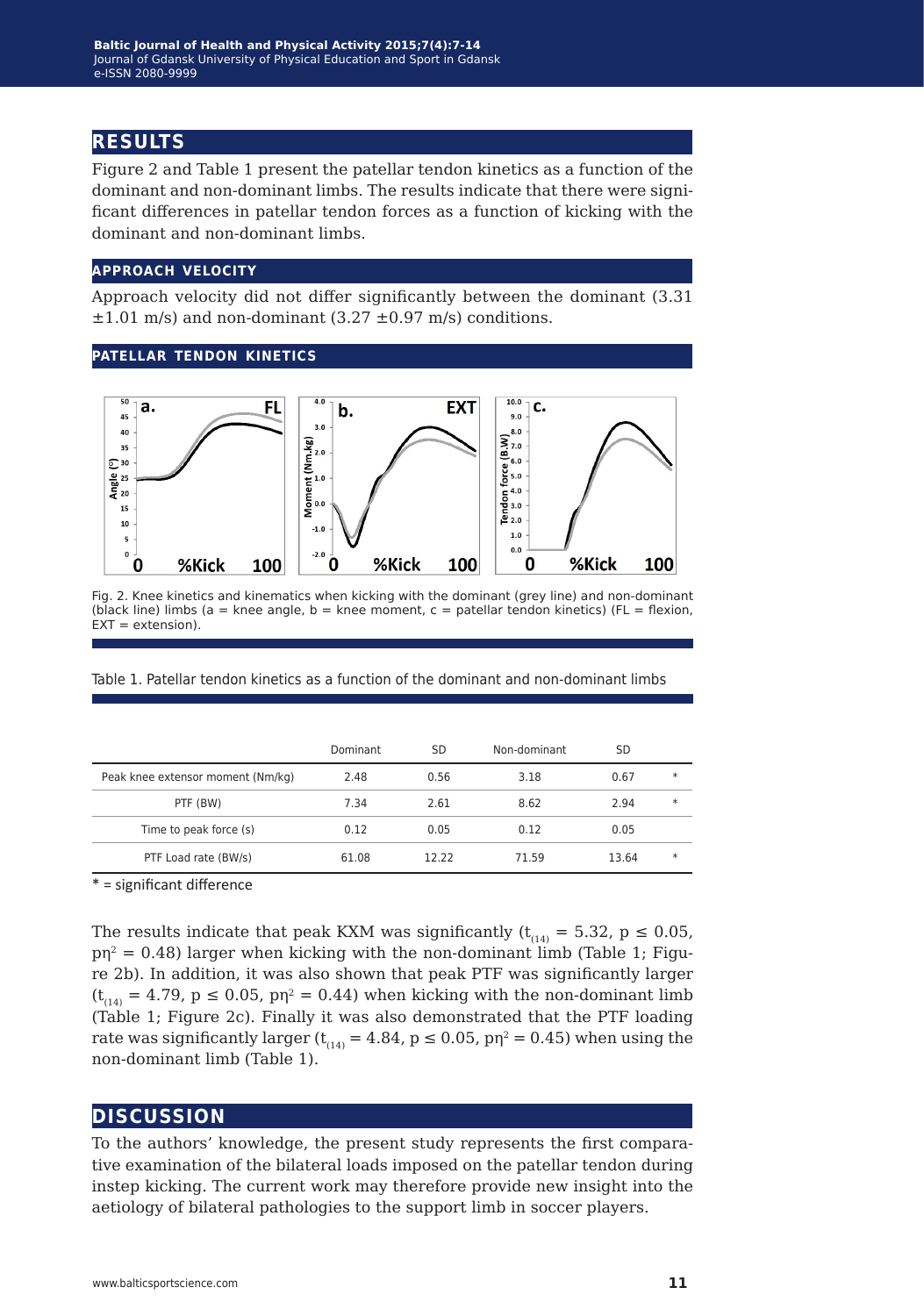## **results**

Figure 2 and Table 1 present the patellar tendon kinetics as a function of the dominant and non-dominant limbs. The results indicate that there were significant differences in patellar tendon forces as a function of kicking with the dominant and non-dominant limbs.

#### **approach velocity**

Approach velocity did not differ significantly between the dominant (3.31  $\pm 1.01$  m/s) and non-dominant (3.27  $\pm 0.97$  m/s) conditions.

#### **patellar tendon kinetics**



Fig. 2. Knee kinetics and kinematics when kicking with the dominant (grey line) and non-dominant (black line) limbs (a = knee angle, b = knee moment,  $c =$  patellar tendon kinetics) (FL = flexion,  $EXT = extension$ ).

Table 1. Patellar tendon kinetics as a function of the dominant and non-dominant limbs

|                                   | Dominant | SD    | Non-dominant | SD    |        |
|-----------------------------------|----------|-------|--------------|-------|--------|
| Peak knee extensor moment (Nm/kg) | 2.48     | 0.56  | 3.18         | 0.67  | $\ast$ |
| PTF (BW)                          | 7.34     | 2.61  | 8.62         | 2.94  | $\ast$ |
| Time to peak force (s)            | 0.12     | 0.05  | 0.12         | 0.05  |        |
| PTF Load rate (BW/s)              | 61.08    | 12.22 | 71.59        | 13.64 | $\ast$ |

\* = significant difference

The results indicate that peak KXM was significantly ( $t_{(14)} = 5.32$ ,  $p \le 0.05$ ,  $pp^2 = 0.48$ ) larger when kicking with the non-dominant limb (Table 1; Figure 2b). In addition, it was also shown that peak PTF was significantly larger  $(t<sub>14)</sub> = 4.79$ ,  $p \le 0.05$ ,  $p\eta^2 = 0.44$ ) when kicking with the non-dominant limb (Table 1; Figure 2c). Finally it was also demonstrated that the PTF loading rate was significantly larger ( $t_{(14)} = 4.84$ ,  $p \le 0.05$ ,  $p\eta^2 = 0.45$ ) when using the non-dominant limb (Table 1).

#### **discussion**

To the authors' knowledge, the present study represents the first comparative examination of the bilateral loads imposed on the patellar tendon during instep kicking. The current work may therefore provide new insight into the aetiology of bilateral pathologies to the support limb in soccer players.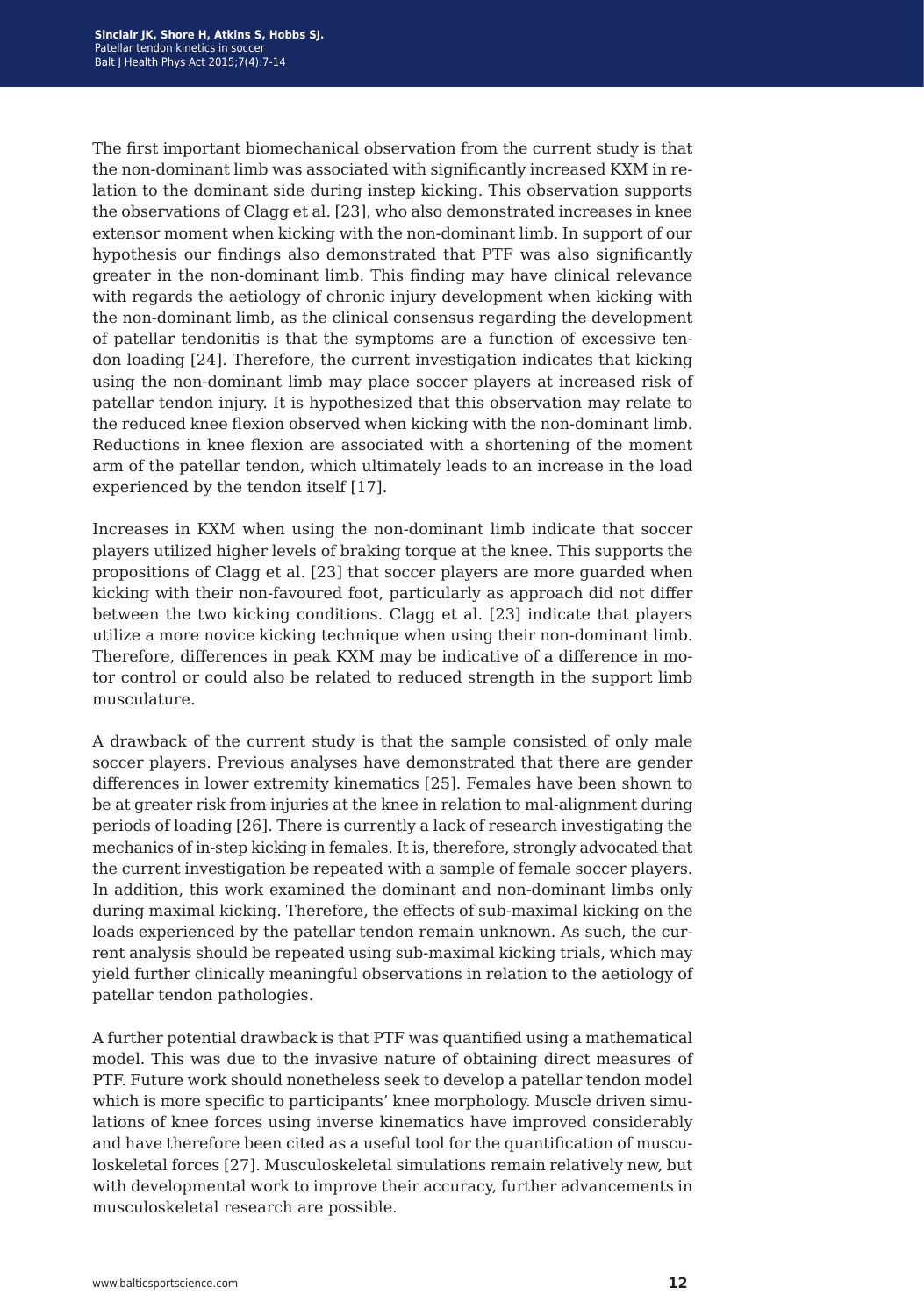The first important biomechanical observation from the current study is that the non-dominant limb was associated with significantly increased KXM in relation to the dominant side during instep kicking. This observation supports the observations of Clagg et al. [23], who also demonstrated increases in knee extensor moment when kicking with the non-dominant limb. In support of our hypothesis our findings also demonstrated that PTF was also significantly greater in the non-dominant limb. This finding may have clinical relevance with regards the aetiology of chronic injury development when kicking with the non-dominant limb, as the clinical consensus regarding the development of patellar tendonitis is that the symptoms are a function of excessive tendon loading [24]. Therefore, the current investigation indicates that kicking using the non-dominant limb may place soccer players at increased risk of patellar tendon injury. It is hypothesized that this observation may relate to the reduced knee flexion observed when kicking with the non-dominant limb. Reductions in knee flexion are associated with a shortening of the moment arm of the patellar tendon, which ultimately leads to an increase in the load experienced by the tendon itself [17].

Increases in KXM when using the non-dominant limb indicate that soccer players utilized higher levels of braking torque at the knee. This supports the propositions of Clagg et al. [23] that soccer players are more guarded when kicking with their non-favoured foot, particularly as approach did not differ between the two kicking conditions. Clagg et al. [23] indicate that players utilize a more novice kicking technique when using their non-dominant limb. Therefore, differences in peak KXM may be indicative of a difference in motor control or could also be related to reduced strength in the support limb musculature.

A drawback of the current study is that the sample consisted of only male soccer players. Previous analyses have demonstrated that there are gender differences in lower extremity kinematics [25]. Females have been shown to be at greater risk from injuries at the knee in relation to mal-alignment during periods of loading [26]. There is currently a lack of research investigating the mechanics of in-step kicking in females. It is, therefore, strongly advocated that the current investigation be repeated with a sample of female soccer players. In addition, this work examined the dominant and non-dominant limbs only during maximal kicking. Therefore, the effects of sub-maximal kicking on the loads experienced by the patellar tendon remain unknown. As such, the current analysis should be repeated using sub-maximal kicking trials, which may yield further clinically meaningful observations in relation to the aetiology of patellar tendon pathologies.

A further potential drawback is that PTF was quantified using a mathematical model. This was due to the invasive nature of obtaining direct measures of PTF. Future work should nonetheless seek to develop a patellar tendon model which is more specific to participants' knee morphology. Muscle driven simulations of knee forces using inverse kinematics have improved considerably and have therefore been cited as a useful tool for the quantification of musculoskeletal forces [27]. Musculoskeletal simulations remain relatively new, but with developmental work to improve their accuracy, further advancements in musculoskeletal research are possible.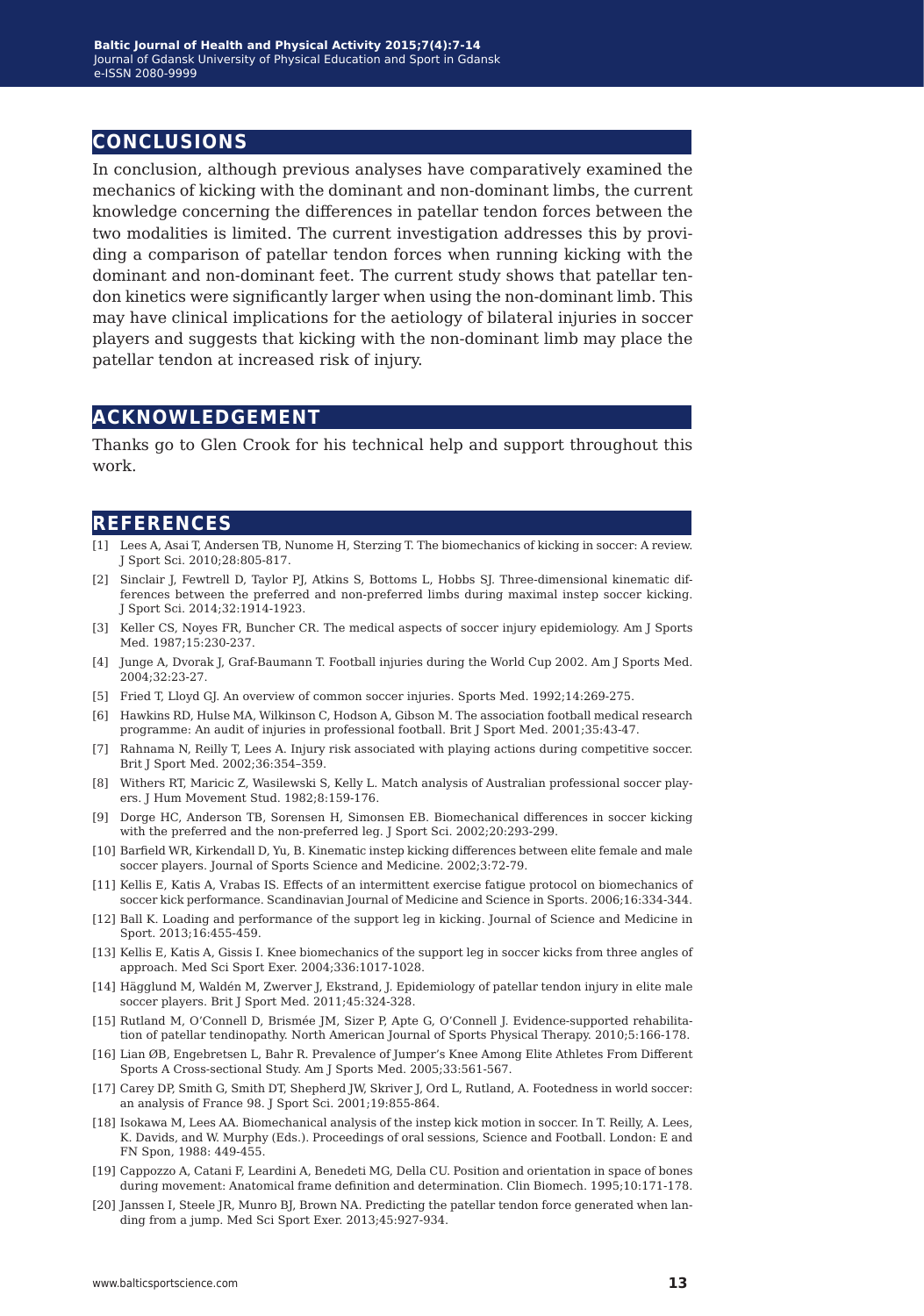## **conclusions**

In conclusion, although previous analyses have comparatively examined the mechanics of kicking with the dominant and non-dominant limbs, the current knowledge concerning the differences in patellar tendon forces between the two modalities is limited. The current investigation addresses this by providing a comparison of patellar tendon forces when running kicking with the dominant and non-dominant feet. The current study shows that patellar tendon kinetics were significantly larger when using the non-dominant limb. This may have clinical implications for the aetiology of bilateral injuries in soccer players and suggests that kicking with the non-dominant limb may place the patellar tendon at increased risk of injury.

## **acknowledgement**

Thanks go to Glen Crook for his technical help and support throughout this work.

#### **references**

- [1] Lees A, Asai T, Andersen TB, Nunome H, Sterzing T. The biomechanics of kicking in soccer: A review. J Sport Sci. 2010;28:805-817.
- [2] Sinclair J, Fewtrell D, Taylor PJ, Atkins S, Bottoms L, Hobbs SJ. Three-dimensional kinematic differences between the preferred and non-preferred limbs during maximal instep soccer kicking. J Sport Sci. 2014;32:1914-1923.
- [3] Keller CS, Noyes FR, Buncher CR. The medical aspects of soccer injury epidemiology. Am J Sports Med. 1987;15:230-237.
- [4] Junge A, Dvorak J, Graf-Baumann T. Football injuries during the World Cup 2002. Am J Sports Med. 2004;32:23-27.
- [5] Fried T, Lloyd GJ. An overview of common soccer injuries. Sports Med. 1992;14:269-275.
- [6] Hawkins RD, Hulse MA, Wilkinson C, Hodson A, Gibson M. The association football medical research programme: An audit of injuries in professional football. Brit J Sport Med. 2001;35:43-47.
- [7] Rahnama N, Reilly T, Lees A. Injury risk associated with playing actions during competitive soccer. Brit J Sport Med. 2002;36:354–359.
- [8] Withers RT, Maricic Z, Wasilewski S, Kelly L. Match analysis of Australian professional soccer players. J Hum Movement Stud. 1982;8:159-176.
- [9] Dorge HC, Anderson TB, Sorensen H, Simonsen EB. Biomechanical differences in soccer kicking with the preferred and the non-preferred leg. J Sport Sci. 2002;20:293-299.
- [10] Barfield WR, Kirkendall D, Yu, B. Kinematic instep kicking differences between elite female and male soccer players. Journal of Sports Science and Medicine. 2002;3:72-79.
- [11] Kellis E, Katis A, Vrabas IS. Effects of an intermittent exercise fatigue protocol on biomechanics of soccer kick performance. Scandinavian Journal of Medicine and Science in Sports. 2006;16:334-344.
- [12] Ball K. Loading and performance of the support leg in kicking. Journal of Science and Medicine in Sport. 2013;16:455-459.
- [13] Kellis E, Katis A, Gissis I. Knee biomechanics of the support leg in soccer kicks from three angles of approach. Med Sci Sport Exer. 2004;336:1017-1028.
- [14] Hägglund M, Waldén M, Zwerver J, Ekstrand, J. Epidemiology of patellar tendon injury in elite male soccer players. Brit J Sport Med. 2011;45:324-328.
- [15] Rutland M, O'Connell D, Brismée JM, Sizer P, Apte G, O'Connell J. Evidence-supported rehabilitation of patellar tendinopathy. North American Journal of Sports Physical Therapy. 2010;5:166-178.
- [16] Lian ØB, Engebretsen L, Bahr R. Prevalence of Jumper's Knee Among Elite Athletes From Different Sports A Cross-sectional Study. Am J Sports Med. 2005;33:561-567.
- [17] Carey DP, Smith G, Smith DT, Shepherd JW, Skriver J, Ord L, Rutland, A. Footedness in world soccer: an analysis of France 98. J Sport Sci. 2001;19:855-864.
- [18] Isokawa M, Lees AA. Biomechanical analysis of the instep kick motion in soccer. In T. Reilly, A. Lees, K. Davids, and W. Murphy (Eds.). Proceedings of oral sessions, Science and Football. London: E and FN Spon, 1988: 449-455.
- [19] Cappozzo A, Catani F, Leardini A, Benedeti MG, Della CU. Position and orientation in space of bones during movement: Anatomical frame definition and determination. Clin Biomech. 1995;10:171-178.
- [20] Janssen I, Steele JR, Munro BJ, Brown NA. Predicting the patellar tendon force generated when landing from a jump. Med Sci Sport Exer. 2013;45:927-934.